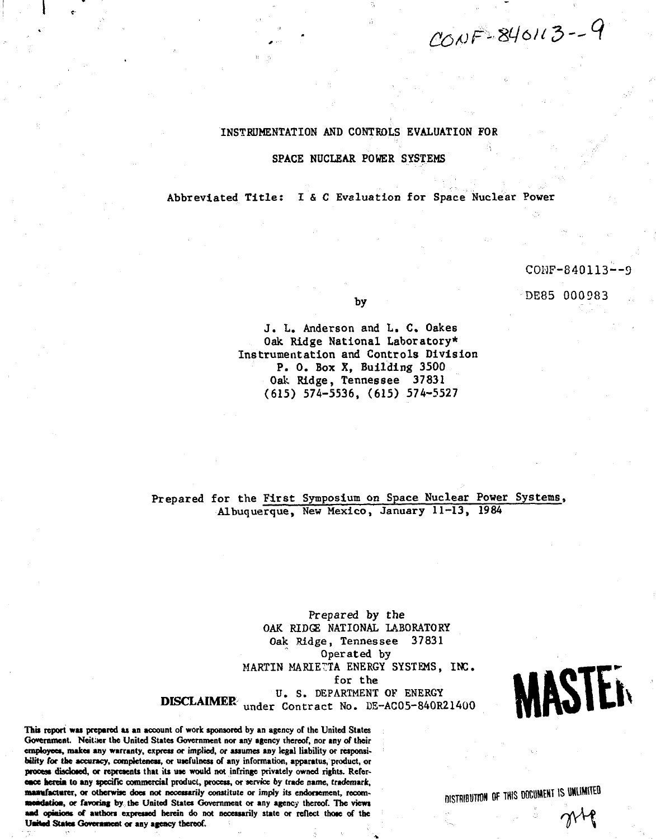$COWF-840113-9$ 

# INSTRUMENTATION AND CONTROLS EVALUATION FOR

### SPACE NUCLEAR POWER SYSTEMS

Abbreviated Title: I & C Evaluation for Space Nuclear Power

# CONF-840113—9

DE85 000983

by

J. L. Anderson and L. C. Oakes Oak Ridge National Laboratory\* Instrumentation and Controls Division P. O. Box X, Building 3500 Oak Ridge, Tennessee 37831 (615) 574-5536, (615) 574-5527

Prepared for the First Symposium on Space Nuclear Power Systems, Albuquerque, New Mexico, January 11-13, 1984

Prepared by the OAK RIDGE NATIONAL LABORATORY Oak Ridge, Tennessee 37831 Operated by MARTIN MARIETTA ENERGY SYSTEMS, INC. for the U. S. DEPARTMENT OF ENERGY DISCLAIMER<sup>2</sup> under Contract No. DE-AC05-840R21400



This report was prepared as an account of work sponsored by an agency of the United States Government. Neither the United States Government nor any agency thereof, nor any of their employees, makes any warranty, express or implied, or assumes any legal liability or responsi**bility for the accuracy, completeness, or usefulness of any information, apparatus, product, or process disclosed, or represents that its use would not infringe privately owned rights. Reference herein to any specific commercial product, process, or service by trade name, trademark, manufacturer, or otherwise does not necessarily constitute or imply its endorsement, recommendation, or favoring by the United States Government or any agency thereof. The views and opinions of authors expressed herein do not necessarily state or reflect those of the United States Government or any agency thereof.**

DISTRIBUTION OF THIS DOCUMENT IS UNLIMITED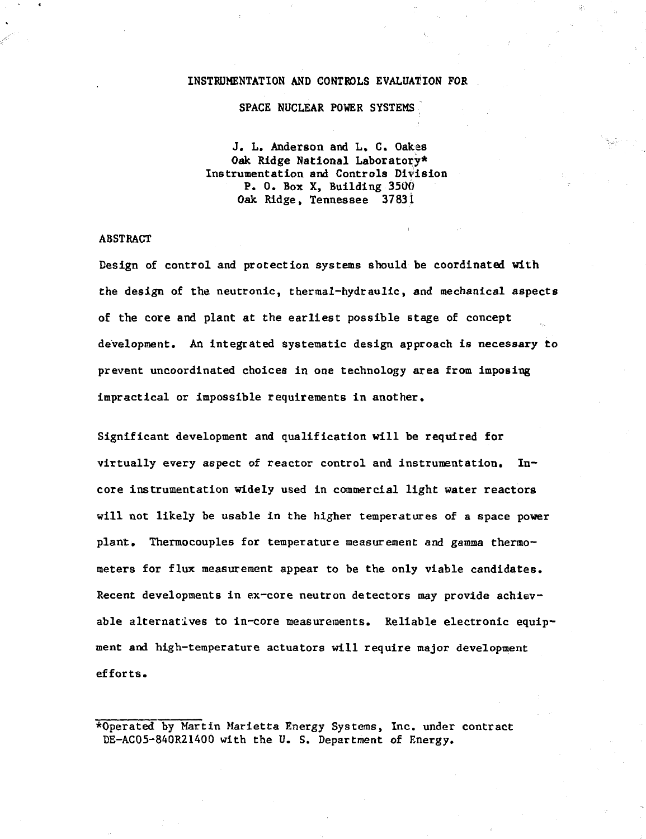#### **INSTRUMENTATION AND CONTROLS EVALUATION FOR**

**SPACE NUCLEAR POWER SYSTEMS**

**J. L. Anderson and L. C. Oak.es Oak Ridge National Laboratory\* Instrumentation and Controls Division P. 0. Box X, Building 3500 Oak Ridge, Tennessee 37831**

#### **ABSTRACT**

Design of control and protection systems should be coordinated with the design of the neutronic, thermal-hydraulic, and mechanical aspects of the core and plant at the earliest possible stage of concept development. An integrated systematic design approach is necessary to prevent uncoordinated choices in one technology area from imposing impractical or impossible requirements in another.

Significant development and qualification will be required for virtually every aspect of reactor control and instrumentation. Incore instrumentation widely used in commercial light water reactors will not likely be usable in the higher temperatures of a space power plant. Thermocouples for temperature measurement and gamma thermometers for flux measurement appear to be the only viable candidates. Recent developments in ex-core neutron detectors may provide achievable alternatives to in-core measurements. Reliable electronic equipment and high-temperature actuators will require major development efforts.

\*0perated by Martin Marietta Energy Systems, Inc. under contract DE-AC05-8AOR21400 with the U. S. Department of Energy.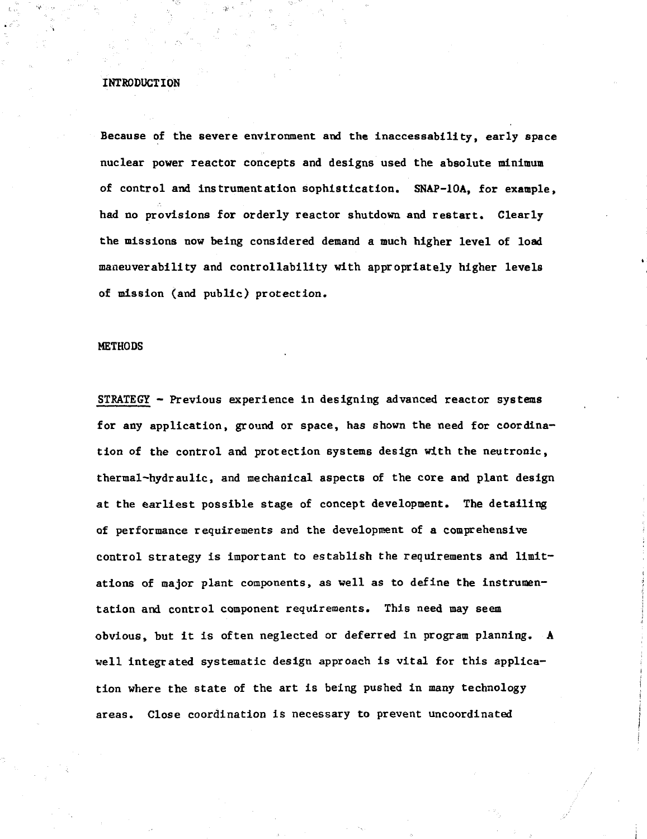# **INTRODUCTION**

**Because of the severe environment and the inaccessability, early space nuclear power reactor concepts and designs used the absolute minimum of control and instrumentation sophistication. SNAF-10A, for example, had no provisions for orderly reactor shutdown and restart. Clearly the missions now being considered demand a much higher level of load maneuverability and controllability with appropriately higher levels of mission (and public) protection.**

### **METHODS**

**STRATEGY - Previous experience in designing advanced reactor systems for any application, ground or space, has shown the need for coordination of the control and protection systems design with the neutronic, thermal-hydraulic, and mechanical aspects of the core and plant design at the earliest possible stage of concept development. The detailing of performance requirements and the development of a comprehensive control strategy is important to establish the requirements and limitations of major plant components, as well as to define the instrumentation and control component requirements. This need may seem obvious, but it is often neglected or deferred in program planning. A well integrated systematic design approach is vital for this application where the state of the art is being pushed in many technology areas. Close coordination is necessary to prevent uncoordinated**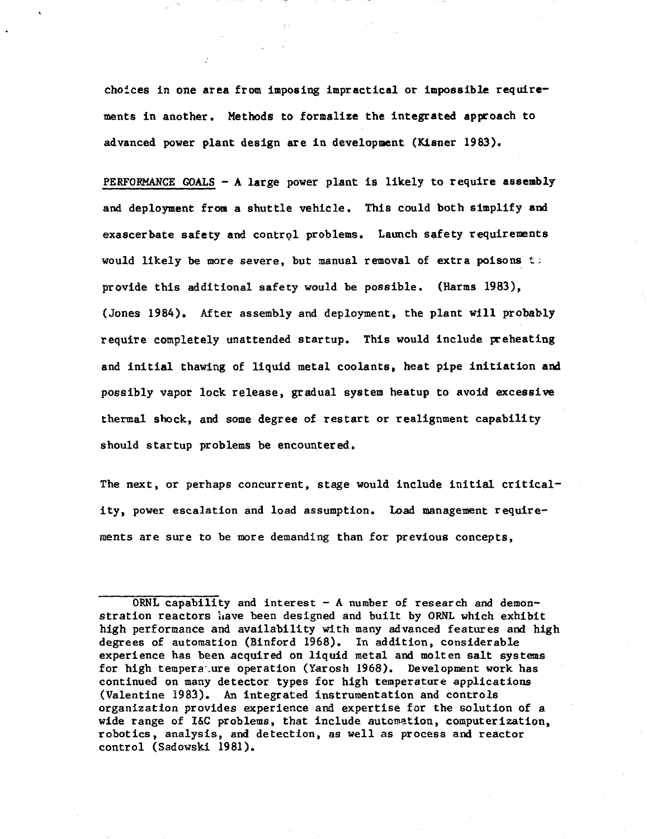**choices in one area from imposing impractical or impossible requirements in another. Methods to formalize the integrated approach to advanced power plant design are in development (Kisner 1983).**

**PERFORMANCE GOALS - A large power plant is likely to require assembly and deployment from a shuttle vehicle. This could both simplify and exascerbate safety and control problems. Launch safety requirements would likely be more severe, but manual removal of extra poisons t; provide this additional safety would be possible. (Harms 1983), (Jones 1984). After assembly and deployment, the plant will probably require completely unattended startup. This would include preheating and initial thawing of liquid metal coolants, heat pipe initiation and possibly vapor lock release, gradual system heatup to avoid excessive thermal shock, and some degree of restart or realignment capability should startup problems be encountered.**

**The next, or perhaps concurrent, stage would include initial criticality, power escalation and load assumption. Load management requirements are sure to be more demanding than for previous concepts,**

**ORNL capability and interest - A number of research and demonstration reactors iiave been designed and built by ORNL which exhibit high performance and availability with many advanced features and high degrees of automation (Binford 1968). In addition, considerable experience has been acquired on liquid metal and molten salt systems for high tempera.ure operation (Yarosh 1968). Development work has continued on many detector types for high temperature applications (Valentine 1983). An integrated instrumentation and controls organization provides experience and expertise for the solution of a wide range of I&C problems, that include automation, computerization, robotics, analysis, and detection, as well as process and reactor control (Sadowski 1981).**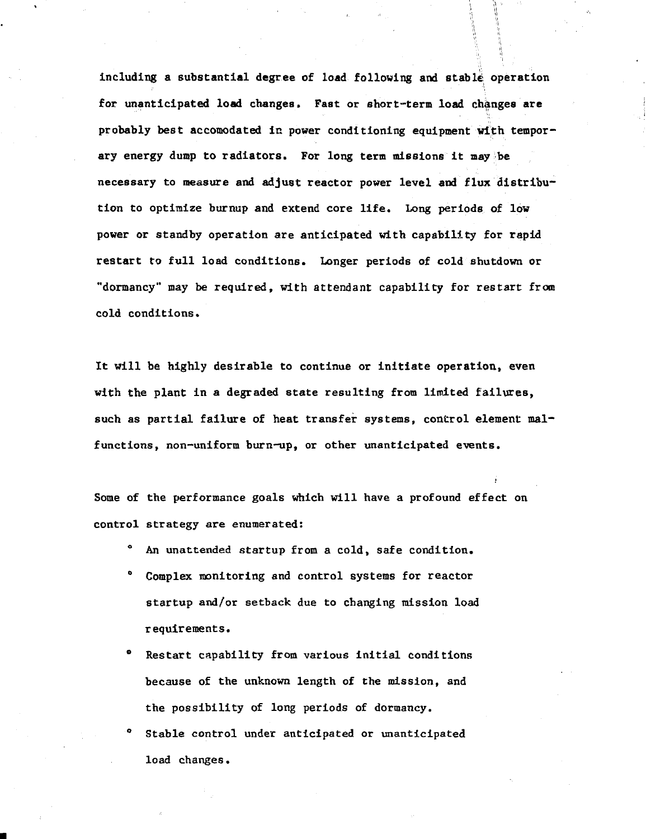including a substantial degree of load following and stable operation for unanticipated load changes, Fast or short-term load changes are probably best accomodated in power conditioning equipment with temporary energy dump to radiators. For long term missions it may be necessary to measure and adjust reactor power level and flux distribution to optimize burnup and extend core life. Long periods of low power or standby operation are anticipated with capability for rapid restart to full load conditions. Longer periods of cold shutdown or "dormancy" may be required, with attendant capability for restart from cold conditions.

It will be highly desirable to continue or initiate operation, even with the plant in a degraded state resulting from limited failures, such as partial failure of heat transfer systems, control element malfunctions, non-uniform burn-up, or other unanticipated events.

Some of the performance goals which will have a profound effect on control strategy are enumerated:

- An unattended startup from a cold, safe condition.
- Complex monitoring and control systems for reactor startup and/or setback due to changing mission load requirements.
- Restart capability from various initial conditions because of the unknown length of the mission, and the possibility of long periods of dormancy.
- Stable control under anticipated or unanticipated load changes.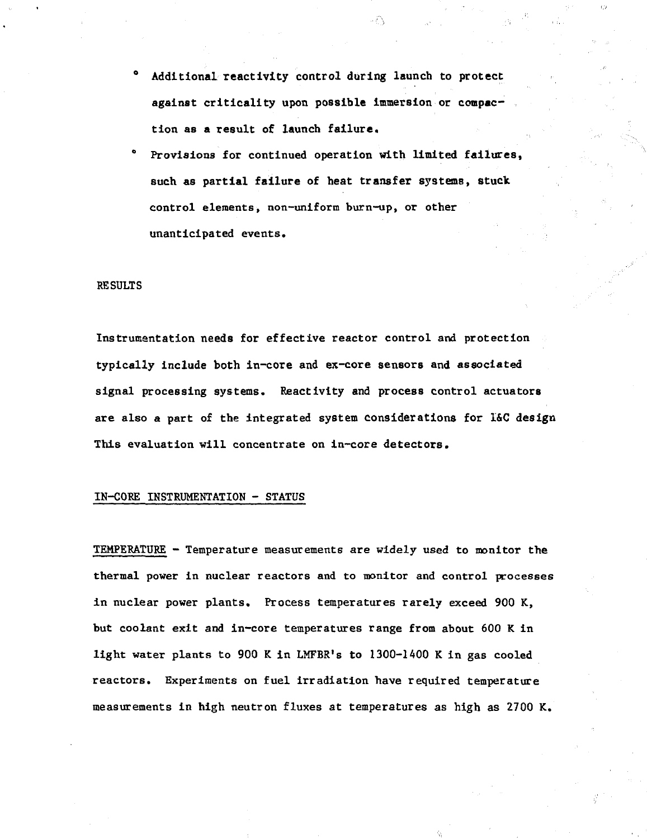- **<sup>0</sup> Additional reactivity control during launch to protect** against criticality upon possible immersion or compac**tion as a result of launch failure.**
- Provisions for continued operation with limited failures, **such as partial failure of heat transfer systems, stuck control elements, non-uniform burn-up, or other unanticipated events.**

#### **RESULTS**

Instrumantation needs for effective reactor control and protection typically include both in-core and ex-core sensors and associated signal processing systems. Reactivity and process control actuators are also a part of the integrated system considerations for I&C design This evaluation will concentrate on in-core detectors.

# IN-CORE INSTRUMENTATION - STATUS

TEMPERATURE - Temperature measurements are widely used to monitor the thermal power in nuclear reactors and to monitor and control processes in nuclear power plants. Process temperatures rarely exceed 900 K, but coolant exit and in-core temperatures range from about 600 K in light water plants to 900 K in LMFBR's to 1300-1400 K in gas cooled reactors. Experiments on fuel irradiation have required temperature measurements in high neutron fluxes at temperatures as high as 2700 K.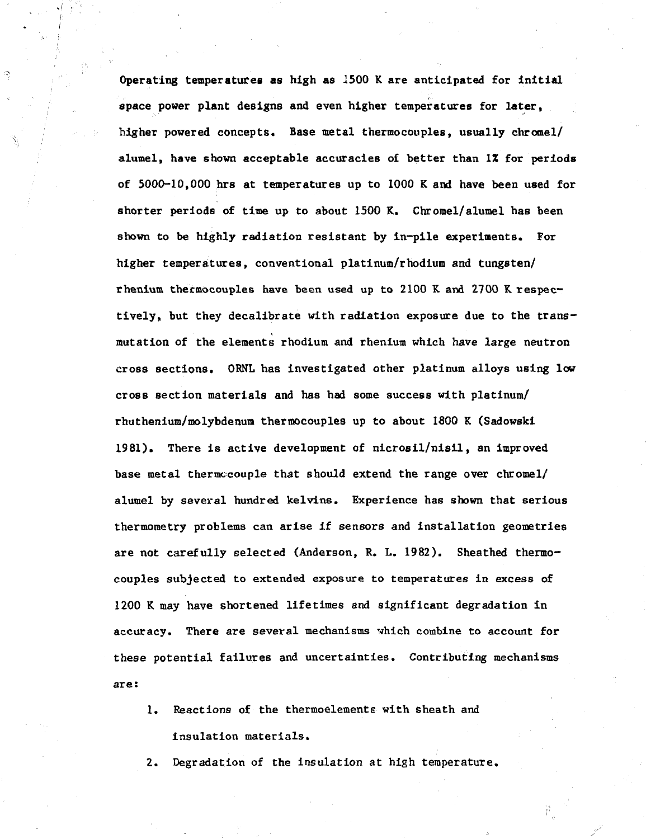Operating temperatures as high as 1500 K are anticipated for initial space power plant designs and even higher temperatures for later, higher powered concepts. Base metal thermocouples, usually chrome1/ alumel, have shown acceptable accuracies of better than 1% for periods of 5000-10,000 hrs at temperatures up to 1000 K and have been used for shorter periods of time up to about 1500 K. Chromel/alumel has been shown to be highly radiation resistant by in-pile experiments. For higher temperatures, conventional platinum/rhodium and tungsten/ rhenium thermocouples have been used up to 2100 K and 2700 K respectively, but they decalibrate with radiation exposure due to the transmutation of the elements rhodium and rhenium which have large neutron cross sections. ORNL has investigated other platinum alloys using low cross section materials and has had some success with platinum/ rhuthenium/molybdenum thermocouples up to about 1800 K (Sadowski 1981). There is active development of nicrosil/nisil, an improved base metal thermocouple that should extend the range over chromel/ alumel by several hundred kelvins. Experience has shown that serious thermometry problems can arise if sensors and installation geometries are not carefully selected (Anderson, R. L. 1982). Sheathed thermocouples subjected to extended exposure to temperatures in excess of 1200 K may have shortened lifetimes and significant degradation in accuracy. There are several mechanisms vhich combine to account for these potential failures and uncertainties. Contributing mechanisms are:

1. Reactions of the thermoelements with sheath and

insulation materials.

2. Degradation of the insulation at high temperature.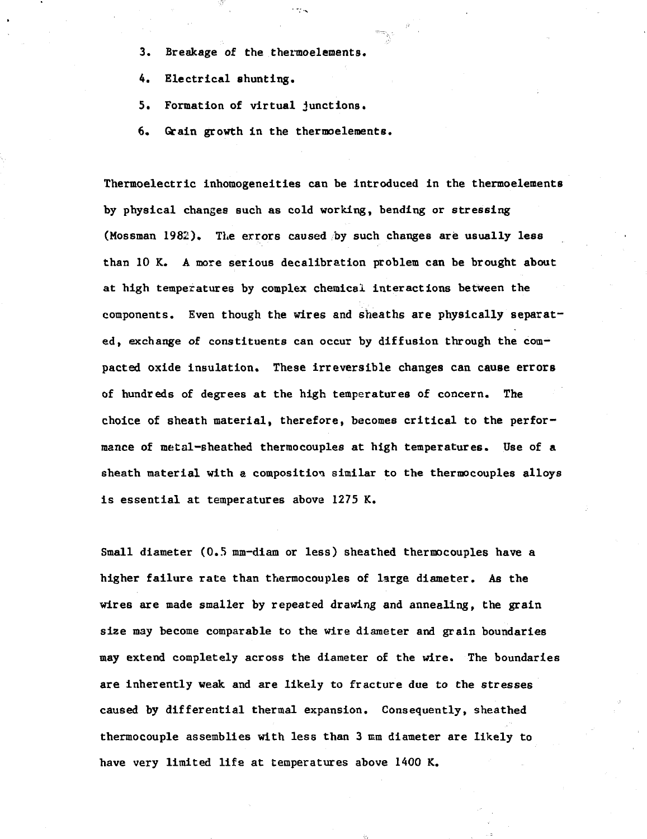- **3. Breakage of the thermoelements.**
- **4. Electrical shunting.**
- **5. Formation of virtual junctions.**
- **6. Grain growth in the thermoelements.**

**Thermoelectric inhomogeneities can be introduced in the thermoelements by physical changes such as cold working, bending or stressing (Mossman 1982). The errors caused by such changes are usually less than 10 K. A more serious decalibration problem can be brought about at high temperatures by complex chemical interactions between the components. Even though the wires and sheaths are physically separated, exchange of constituents can occur by diffusion through the compacted oxide insulation. These irreversible changes can cause errors of hundreds of degrees at the high temperatures of concern. The choice of sheath material, therefore, becomes critical to the performance of metal-sheathed thermocouples at high temperatures. Use of a sheath material with a composition similar to the thermocouples alloys is essential at temperatures above 1275 K.**

**Small diameter (0.5 mm-diam or less) sheathed thermocouples have a higher failure rate than thermocouples of large diameter. As the wires are made smaller by repeated drawing and annealing, the grain size may become comparable to the wire diameter and grain boundaries may extend completely across the diameter of the wire. The boundaries are inherently weak and are likely to fracture due to the stresses caused by differential thermal expansion. Consequently, sheathed thermocouple assemblies with less than 3 mm diameter are likely to have very limited life at temperatures above 1400 K.**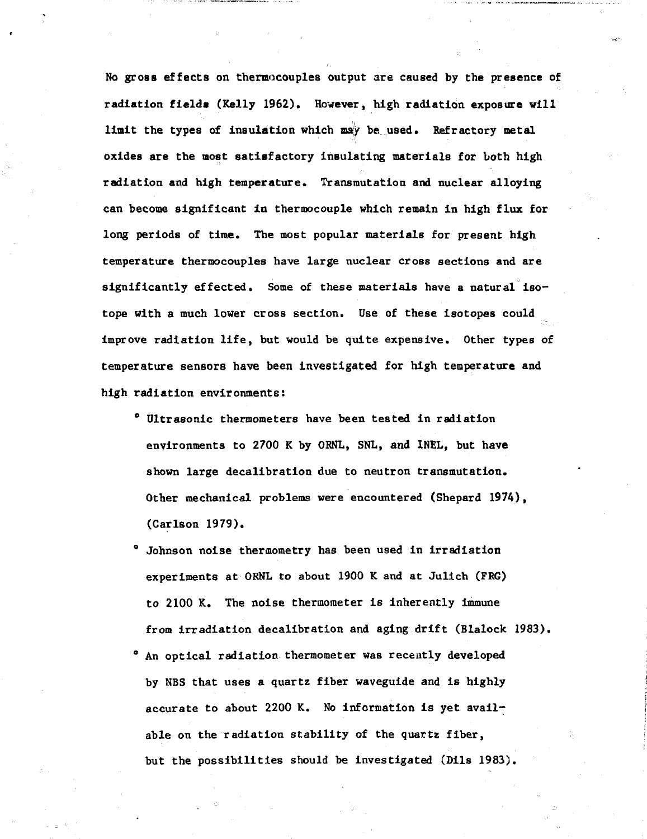**No gross effects on thermocouples output are caused by the presence of radiation fields (Kelly 1962). However, high radiation exposure will limit the types of insulation which may be used. Refractory metal oxides are the most satisfactory insulating materials for both high radiation and high temperature. Transmutation and nuclear alloying can become significant in thermocouple which remain in high flux for long periods of time. The most popular materials for present high temperature thermocouples have large nuclear cross sections and are significantly effected. Some of these materials have a natural isotope with a much lower cross section. Use of these isotopes could improve radiation life, but would be quite expensive. Other types of temperature sensors have been investigated for high temperature and high radiation environments:**

- **<sup>0</sup> Ultrasonic thermometers have been tested in radiation environments to 2700 K by OENL, SNL, and INEL, but have shown large decalibration due to neutron transmutation. Other mechanical problems were encountered (Shepard 1974), (Carlson 1979).**
- **<sup>0</sup> Johnson noise thermometry has been used in irradiation experiments at OBNL to about 1900 K and at Julich (FRG) to 2100 K. The noise thermometer is inherently immune from irradiation decalibration and aging drift (Blalock 1983).** An optical radiation thermometer was recently developed **by NBS that uses a quartz fiber waveguide and is highly accurate to about 2200 K. No information is yet available on the radiation stability of the quartz fiber, but the possibilities should be investigated (Dils 1983).**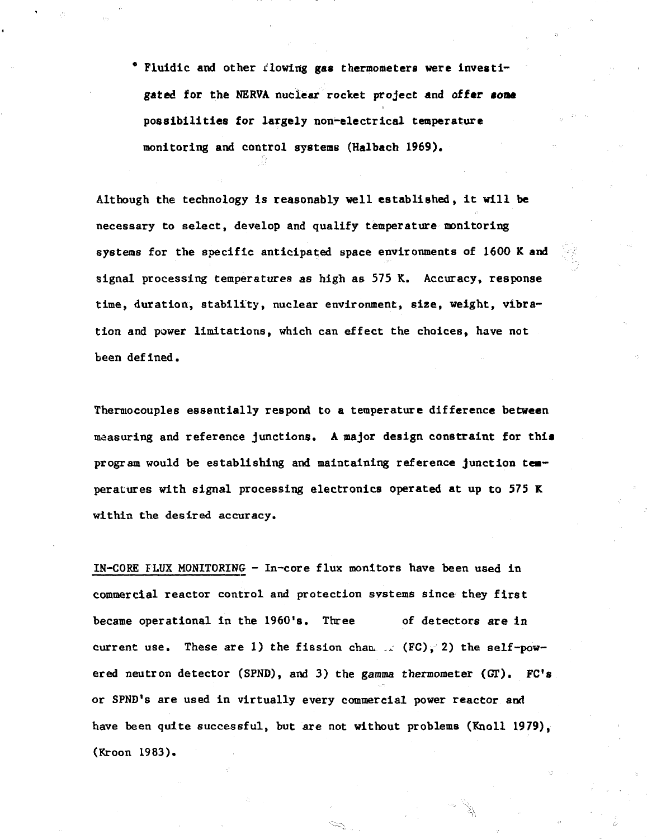0 Fluidic and other rlowing gas thermometers were investigated for the NERVA nuclear rocket project and of far **soac** possibilities for largely non-electrical temperature monitoring and control systems (Halbach 1969).

Although the technology is reasonably well established, it will be necessary to select, develop and qualify temperature monitoring systems for the specific anticipated space environments of 1600 K and signal processing temperatures as high as 575 K. Accuracy, response time, duration, stability, nuclear environment, size, weight, vibration and power limitations, which can effect the choices, have not been defined.

Thermocouples essentially respond to a temperature difference between measuring and reference junctions. A major design constraint for this program would be establishing and maintaining reference junction temperatures with signal processing electronics operated at up to 575 K within the desired accuracy.

IN-CORE FLUX MONITORING - In-core flux monitors have been used in commercial reactor control and protection systems since they first became operational in the 1960's. Three of detectors are in current use. These are 1) the fission chan  $\ldots$  (FC), 2) the self-powered neutron detector (SPND), and 3) the gamma thermometer *(GI).* FC's or SPND's are used in virtually every commercial power reactor and have been quite successful, but are not without problems (Knoll 1979), (Kroon 1983).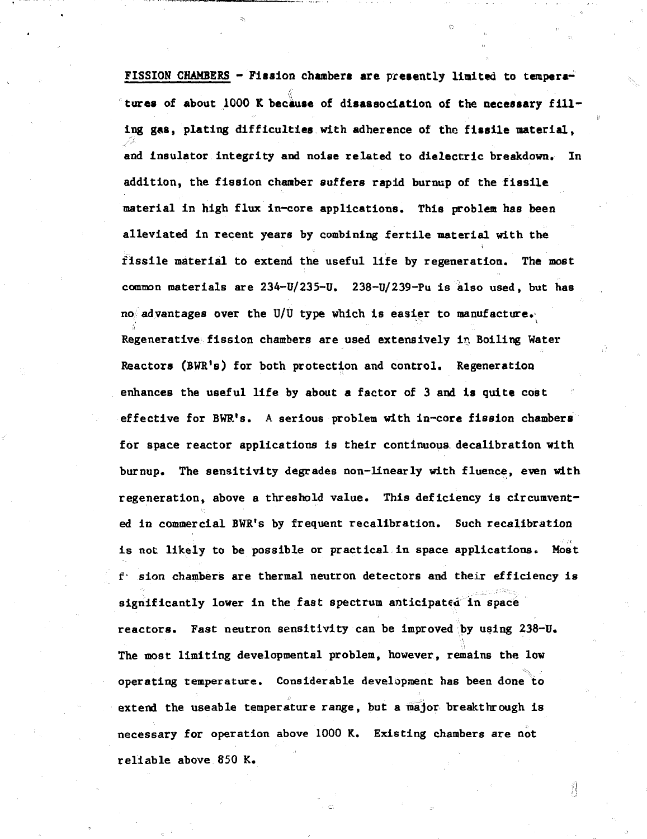**FISSION CHAMBERS - Fiasion chambers are presently limited to tempera**tures of about 1000 K because of disassociation of the necessary fill**ing gas, plating difficulties with adherence of the fissile material, and insulator integrity and noise related to dielectric breakdown. In addition, the fission chamber suffers rapid burnup of the fissile material in high flux in-core applications. This problem has been alleviated in recent years by combining fertile material with the fissile material to extend the useful life by regeneration. The most common materials are 234-U/235-U. 238-U/239-Pu is also used, but has no advantages over the U/U type which is easier to manufacture. Regenerative fission chambers are used extensively in Boiling Water Reactors (BWR's) for both protection and control. Regeneration enhances the useful life by about a factor of 3 and is quite cost effective for BWR's. A serious problem with in-core fission chambers for space reactor applications is their continuous, decalibration with burnup. The sensitivity degrades non-linearly with fluence, even with regeneration, above a threshold value. This deficiency is circumvented in commercial BWR's by frequent recalibration. Such recalibration is not likely to be possible or practical in space applications. Most f- sion chambers are thermal neutron detectors and their efficiency is significantly lower in the fast spectrum anticipated in space reactors. Fast neutron sensitivity can be improved by using 238-U. The most limiting developmental problem, however, remains the low operating temperature. Considerable development has been done to extend the useable temperature range, but a major breakthrough is necessary for operation above 1000 K. Existing chambers are not reliable above 850 K.**

ÏI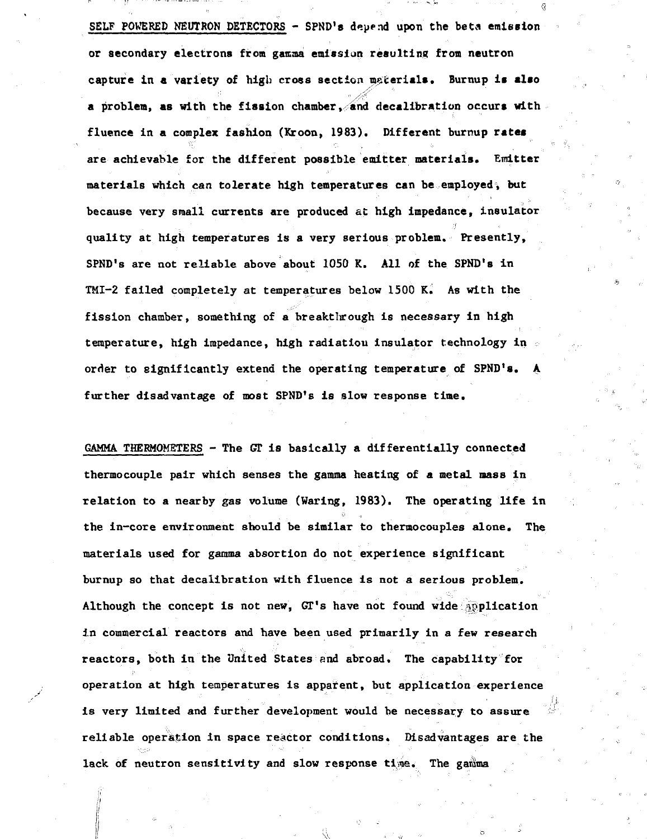**SELF POWERED NEUTRON DETECTORS - SPND's depend upon the beta emission or secondary electrons from gamma emission resulting from neutron capture in a variety of high cross section materials. Burnup is also a problem, as with the fission chamber, and decalibration occurs with fluence in a complex fashion (Kroon, 1983). Different burnup rates are achievable for the different possible emitter materials. Emitter materials which can tolerate high temperatures can be employed, but because very small currents are produced at high impedance, insulator quality at high temperatures is a very serious problem. Presently, SPND's are not reliable above about 1050 K. All of the SPND's in TMI-2 failed completely at temperatures below 1500 K. As with the fission chamber, something of a breakthrough is necessary in high temperature, high impedance, high radiation insulator technology in order to significantly extend the operating temperature of SPND's. A further disadvantage of most SPND's is slow response time.**

**GAMMA THERMOMETERS - The GT is basically a differentially connected thermocouple pair which senses the gamma heating of a metal mass in relation to a nearby gas volume (Waring, 1983). The operating life in the in-core environment should be similar to thermocouples alone. The materials used for gamma absortion do not experience significant burnup so that decalibration with fluence is not a serious problem. Although the concept is not new, GT's have not found wide application in commercial reactors and have been used primarily in a few research reactors, both in the United States end abroad. The capability for operation at high temperatures is apparent, but application experience is very limited and further development would be necessary to assure reliable operation in space reactor conditions. Disadvantages are the** lack of neutron sensitivity and slow response time. The gamma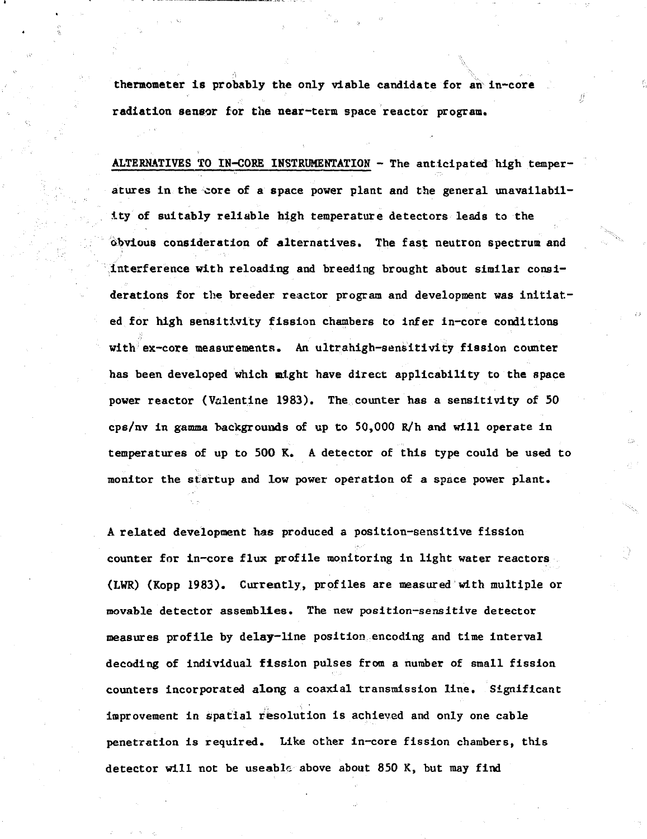**thermometer is probably the only viable candidate for an in-core radiation sensor for the near-term space reactor program.**

**ALTERNATIVES TO IN-CORE INSTRUMENTATION - The anticipated high temperatures in the core of a space power plant and the general unavailability of suitably reliable high temperature detectors leads to the obvious consideration of alternatives. The fast neutron spectrum and interference with reloading and breeding brought about similar considerations for the breeder reactor program and development was initiated for high sensitivity fission chambers to infer in-core conditions with ex-core measurements. An ultrahigh-sensitivity fission counter has been developed which might have direct applicability to the space power reactor (Valentine 1983). The counter has a sensitivity of 50 cps/nv in gamma backgrounds of up to 50,000 R/h and will operate in temperatures of up to 500 K. A detector of this type could be used to monitor the startup and low power operation of a space power plant.**

**A related development has produced a position-sensitive fission counter for in-core flux profile monitoring in light water reactors (LWR) (Kopp 1983). Currently, profiles are measured with multiple or movable detector assemblies. The new position-sensitive detector measures profile by delay-line position encoding and time interval decoding of individual fission pulses from a number of small fission counters incorporated along a coaxial transmission line. Significant improvement in spatial resolution is achieved and only one cable penetration is required. Like other in-core fission chambers, this detector will not be useablc above about 850 K, but may find**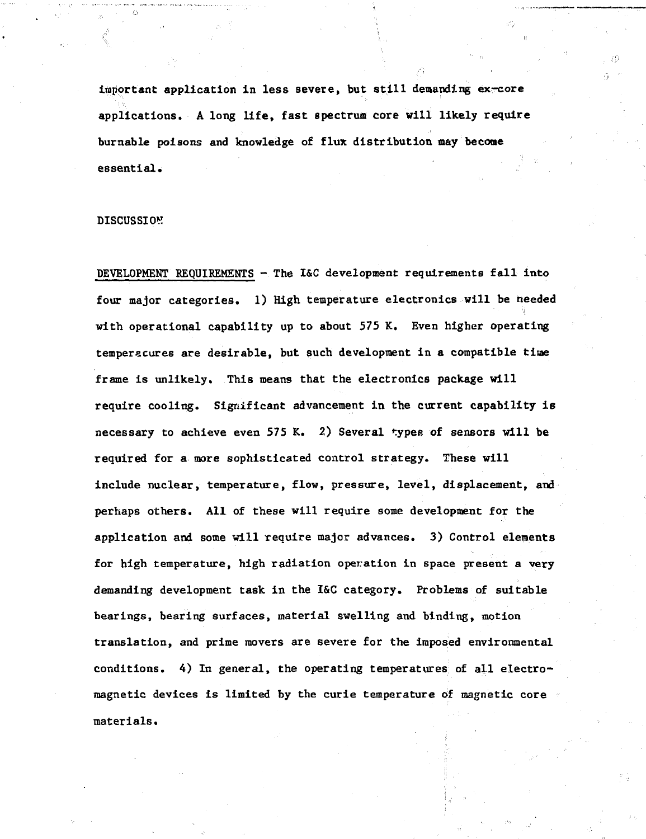**important application in less severe, but still demanding ex-core applications. A long life, fast spectrum core will likely require burnable poisons and knowledge of flux distribution may become essential.**

# **DISCUSSION**

**DEVELOPMENT REQUIREMENTS - The I&C development requirements fall into four major categories. 1) High temperature electronics will be needed with operational capability up to about 575 K. Even higher operating temperacures are desirable, but such development in a compatible time frame is unlikely. This means that the electronics package will require cooling. Significant advancement in the current capability is necessary to achieve even 575 K. 2) Several types of sensors will be required for a more sophisticated control strategy. These will include nuclear, temperature, flow, pressure, level, displacement, and perhaps others. All of these will require some development for the application and some will require major advances. 3) Control elements for high temperature, high radiation operation in space present a very demanding development task in the I&C category. Problems of suitable bearings, bearing surfaces, material swelling and binding, motion translation, and prime movers are severe for the imposed environmental conditions. 4) In general, the operating temperatures of all electromagnetic devices is limited by the curie temperature of magnetic core materials.**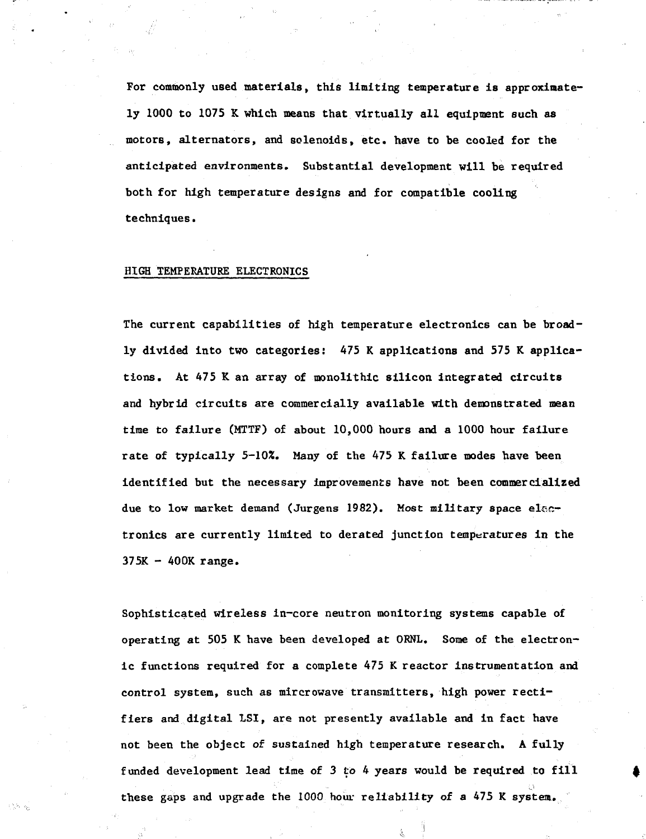For commonly used materials, this limiting temperature is approximately 1000 to 1075 K which means that virtually all equipment such as motors, alternators, and solenoids, etc. have to be cooled for the anticipated environments. Substantial development will be required both for high temperature designs and for compatible cooling techniques.

# HIGH TEMPERATURE ELECTRONICS

The current capabilities of high temperature electronics can be broadly divided into two categories: 475 K applications and 575 K applications. At 475 K an array of monolithic silicon Integrated circuits and hybrid circuits are commercially available with demonstrated mean time to failure (MTTF) of about 10,000 hours and a 1000 hour failure rate of typically 5-10%. Many of the 475 K failure modes have been identified but the necessary improvements have not been commercialized due to low market demand (Jurgens 1982). Most military space electronics are currently limited to derated junction temperatures in the  $375K - 400K$  range.

Sophisticated wireless in-core neutron monitoring systems capable of operating at 505 K have been developed at ORNL. Some of the electronic functions required for a complete 475 K reactor instrumentation and control system, such as mircrowave transmitters, high power rectifiers and digital LSI, are not presently available and in fact have not been the object of sustained high temperature research. A fully funded development lead time of 3 to 4 years would be required to fill these gaps and upgrade the 1000 hour reliability of a 475 K system.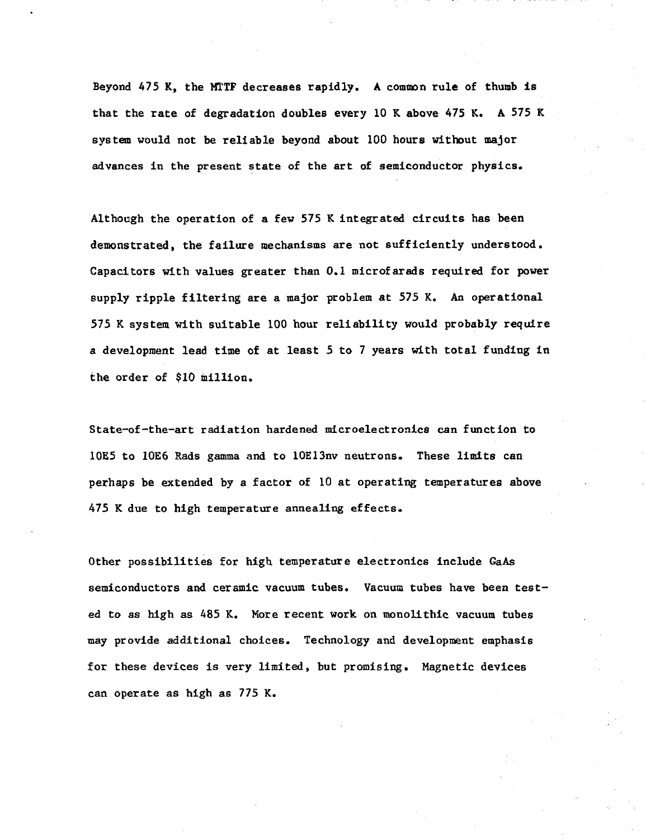Beyond 475 K, the MTTF decreases rapidly. A common rule of thumb is that the rate of degradation doubles every 10 K above 475 K. A 575 K system would not be reliable beyond about 100 hours without major advances in the present state of the art of semiconductor physics.

Although the operation of a few 575 K integrated circuits has been demonstrated, the failure mechanisms are not sufficiently understood. Capacitors with values greater than 0.1 microfarads required for power supply ripple filtering are a major problem at 575 K. An operational 575 K system with suitable 100 hour reliability would probably require a development lead time of at least 5 to 7 years with total funding in the order of \$10 million.

State-of-the-art radiation hardened microelectronics can function to 10E5 to 10E6 Rads gamma and to 10E13nv neutrons. These limits can perhaps be extended by a factor of 10 at operating temperatures above 475 K due to high temperature annealing effects.

Other possibilities for high temperature electronics include GaAs semiconductors and ceramic vacuum tubes. Vacuum tubes have been tested to as high as 485 K. More recent work on monolithic vacuum tubes may provide additional choices. Technology and development emphasis for these devices is very limited, but promising. Magnetic devices can operate as high as 775 K.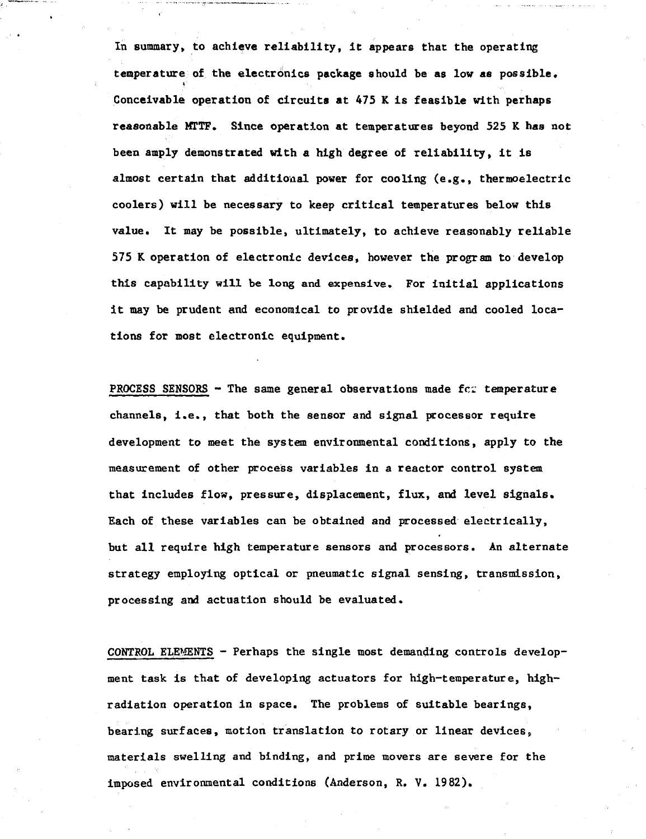**In summary, to achieve reliability, it appears that the operating temperature of the electronics package should be as low as possible. Conceivable operation of circuits at 475 K is feasible with perhaps reasonable MTTF. Since operation at temperatures beyond 525 K has not been amply demonstrated with a high degree of reliability, it is almost certain that additional power for cooling (e.g., thermoelectric coolers) will be necessary to keep critical temperatures below this value. It may be possible, ultimately, to achieve reasonably reliable 575 K operation of electronic devices, however the program to develop this capability will be long and expensive. For initial applications it may be prudent and economical to provide shielded and cooled locations for most electronic equipment.**

**PROCESS SENSORS - The same general observations made fcr temperature channels, i.e., that both the sensor and signal processor require development to meet the system environmental conditions, apply to the measurement of other process variables in a reactor control system that includes flow, pressure, displacement, flux, and level signals. Each of these variables can be obtained and processed electrically, but all require high temperature sensors and processors. An alternate strategy employing optical or pneumatic signal sensing, transmission, processing and actuation should be evaluated.**

**CONTROL ELEMENTS - Perhaps the single most demanding controls development task is that of developing actuators for high-temperature, highradiation operation in space. The problems of suitable bearings, bearing surfaces, motion translation to rotary or linear devices<sup>t</sup> materials swelling and binding, and prime movers are severe for the imposed environmental conditions (Anderson, R. V. 1982).**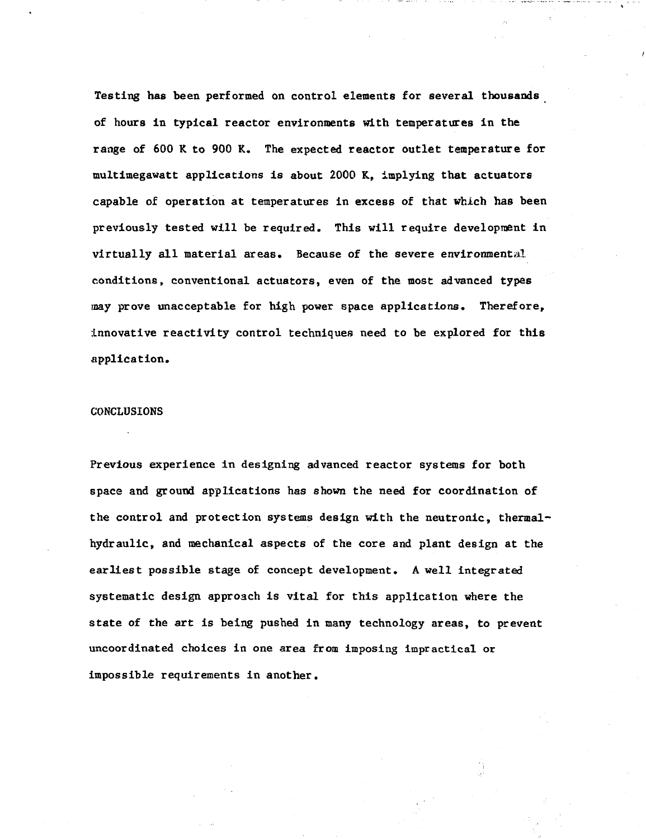Testing has been performed on control elements for several thousands of hours in typical reactor environments with temperatures in the range of 600 K to 900 K. The expected reactor outlet temperature for multimegawatt applications is about 2000 K, implying that actuators capable of operation at temperatures in excess of that which has been previously tested will be required. This will require development in virtually all material areas. Because of the severe environmental conditions, conventional actuators, even of the most advanced types may prove unacceptable for high power space applications. Therefore, innovative reactivity control techniques need to be explored for this application.

# CONCLUSIONS

Previous experience in designing advanced reactor systems for both space and ground applications has shown the need for coordination of the control and protection systems design with the neutronic, thermalhydraulic, and mechanical aspects of the core and plant design at the earliest possible stage of concept development. A well integrated systematic design approach is vital for this application where the state of the art is being pushed in many technology areas, to prevent uncoordinated choices in one area from imposing impractical or impossible requirements in another.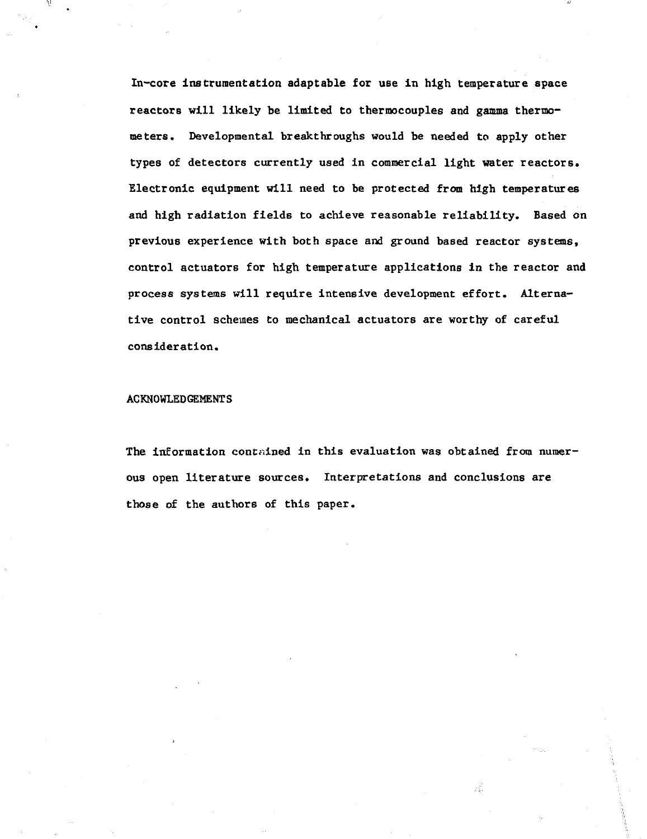In-core instrumentation adaptable for use in high temperature space reactors will likely be limited to thermocouples and gamma thermometers. Developmental breakthroughs would be needed to apply other types of detectors currently used in commercial light water reactors. Electronic equipment will need to be protected from high temperatures and high radiation fields to achieve reasonable reliability. Based on previous experience with both space and ground based reactor systems, control actuators for high temperature applications in the reactor and process systems will require intensive development effort. Alternative control schemes to mechanical actuators are worthy of careful consideration.

# ACKNOWLEDGEMENTS

The information contained in this evaluation was obtained from numerous open literature sources. Interpretations and conclusions are those of the authors of this paper.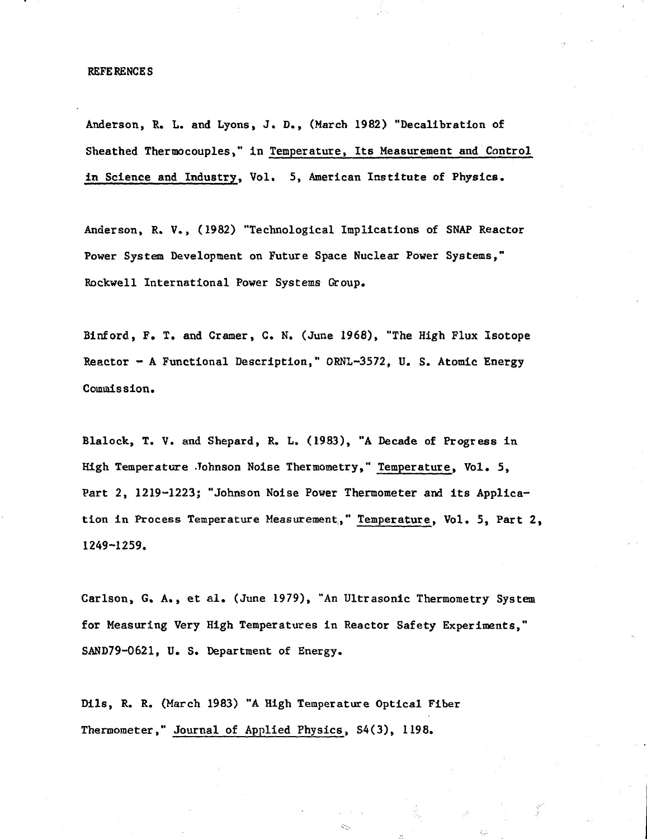## REFERENCES

Anderson, R. L. and Lyons, J. D., (March 1982) "Decalibration of Sheathed Thermocouples," in Temperature, Its Measurement and Control in Science and Industry, Vol. 5, American Institute of Physics.

Anderson, R. V., (1982) "Technological Implications of SNAP Reactor Power System Development on Future Space Nuclear Power Systems," Rockwell International Power Systems Group.

Binford, F. T. and Cramer, C. N. (June 1968), "The High Flux Isotope Reactor - A Functional Description," ORNL-3572, U. S. Atomic Energy Commission.

Blalock, T. V. and Shepard, R. L. (1983), "A Decade of Progress in High Temperature .Tohnson Noise Thermometry," Temperature, Vol. 5, Part 2, 1219-1223; "Johnson Noise Power Thermometer and its Application in Process Temperature Measurement," Temperature, Vol. 5, Part 2, 1249-1259.

Carlson, G. A., et al. (June 1979), "An Ultrasonic Thermometry System for Measuring Very High Temperatures in Reactor Safety Experiments," SAND79-0621, U. S. Department of Energy.

Dils, R. R. (March 1983) "A High Temperature Optical Fiber Thermometer," Journal of Applied Physics, S4(3), 1198.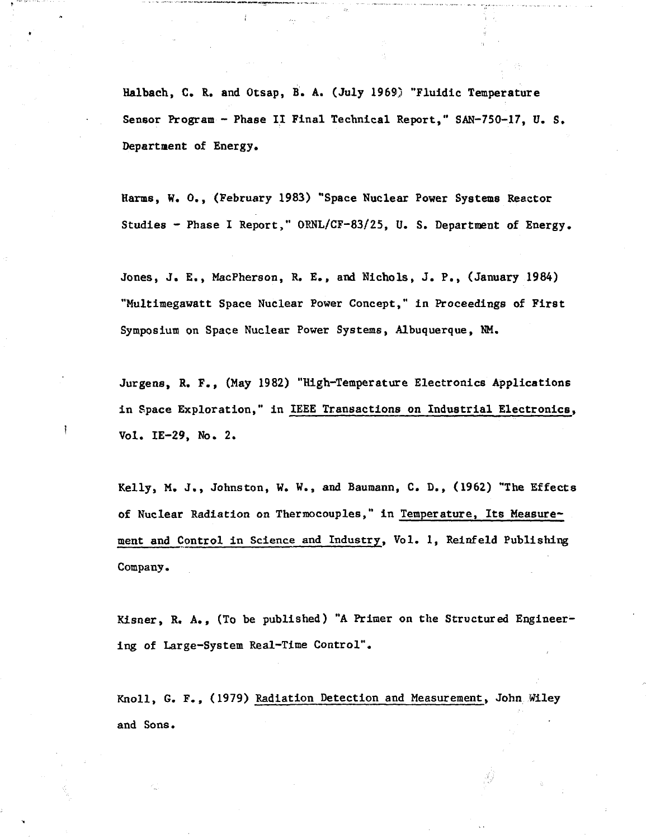Halbach, C. R. and Otsap, B. A. (July 1969) "Fluidic Temperature Sensor Program - Phase II Final Technical Report," SAN-75O-17, U. S. Department of Energy.

Harms, W. 0., (February 1983) "Space Nuclear Power Systems Reactor Studies - Phase I Report," ORNL/CF-83/25, U. S. Department of Energy.

Jones, J. E., MacPherson, R. E., and Nichols, J. P., (January 1984) "Multimegawatt Space Nuclear Power Concept," in Proceedings of First Symposium on Space Nuclear Power Systems, Albuquerque, NM.

Jurgens, R. F., (May 1982) "High-Temperature Electronics Applications in Space Exploration," in IEEE Transactions on Industrial Electronics, Vol. IE-29, No. 2.

Kelly, M. J., Johnston, W. W., and Baumann, C. D., (1962) "The Effects of Nuclear Radiation on Thermocouples," in Temperature, Its Measurement and Control in Science and Industry, Vol. 1, Reinfeld Publishing Company.

Kisner, R. A., (To be published) "A Primer on the Structured Engineering of Large-System Real-Time Control".

Knoll, G. F., (1979) Radiation Detection and Measurement, John Wiley and Sons.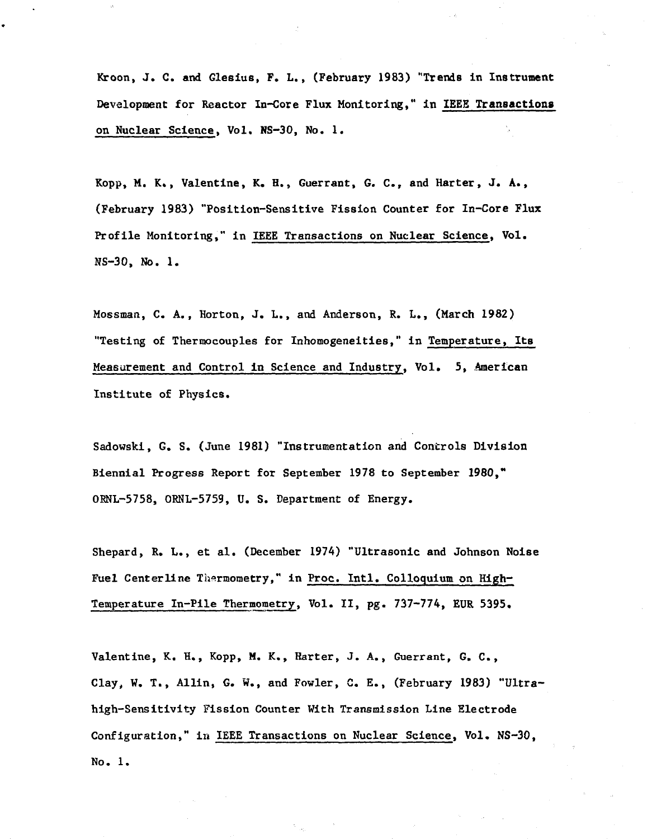Kroon, J. C. and Glesius, F. L., (February 1983) "Trends in Instrument Development for Reactor In-Core Flux Monitoring," in IEEE **Transactions** on Nuclear Science, Vol. NS-3O, No. 1.

Kopp, M. K., Valentine, K. H., Guerrant, G. C , and Harter, J. A., (February 1983) "Position-Sensitive Fission Counter for In-Core Flux Profile Monitoring," in IEEE Transactions on Nuclear Science, Vol. NS-30, No. 1.

Hossman, C. A., Horton, J. L., and Anderson, R. L., (March 1982) "Testing of Thermocouples for Inhomogeneities," in Temperature, **Its** Measurement and Control in Science and Industry, Vol. 5, American Institute of Physics.

Sadowski, G. S. (June 1981) "Instrumentation and Controls Division Biennial Progress Report for September 1978 to September 1980," ORNL-5758, ORNL-5759, U. S. Department of Energy.

Shepard, R. L., et al. (December 1974) "Ultrasonic and Johnson Noise Fuel Centerline Thermometry," in Proc. Intl. Colloquium on High-Temperature In-Pile Thermometry, Vol. II, pg. 737-774, EUR 5395.

Valentine, K. H., Kopp, M. K., Harter, J. A., Guerrant. G. C., Clay, W. T., Allin, G. W., and Fowler, C. E., (February 1983) "Ultrahigh-Sensitivity Fission Counter With Transmission Line Electrode Configuration," in IEEE Transactions on Nuclear Science, Vol. NS-30, No. 1.